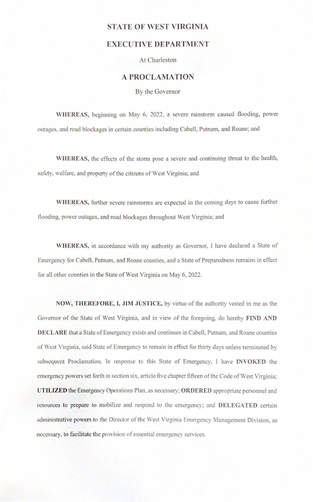## **TATE OF WEST VIRGINIA**

## **EXECUTIVE DEPARTMENT**

At Charleston

## **A PROCLAMATION**

By the Governor

WHEREAS, beginning on May 6, 2022, a severe rainstorm caused flooding, power outages, and road blockages in certain counties including Cabell, Putnam, and Roane; and

**WHEREAS,** the effects of the storm pose a severe and continuing threat to the health, afety, welfare. and property of the citizens of West Virginia; and

**WHEREAS,** further severe rainstonns are expected in the coming days to cause further flooding, power outages, and road blockages throughout West Virginia; and

**WHEREAS,** in accordance with my authority as Governor. I have declared a State of Emergency for Cabell, Putnam, and Roane counties, and a State of Preparedness remains in effect for all other counties in the State of West Virginia on May 6, 2022.

**OW, THEREFORE, I, JIM JUSTICE,** by virtue of the authority vested in me as the Governor of the State of West Virginia, and in view of the foregoing, do hereby FIND AND **DECLARE** that a State of Emergency exists and continues in Cabell. Putnam. and Roane counties of West Virginia, said State of Emergency to remain in effect for thirty days unless terminated by subsequent Proclamation. In response to this State of Emergency, I have **fNVOKED** the emergency powers set forth in section six, article five chapter fifteen of the Code of West Virginia: **UTILIZED** the Emergency Operations Plan. as necessary: **ORDERED** appropriate personnel and resources to prepare to mobilize and respond to the emergency: and **DELEGATED** certain administrative powers to the Director of the West Virginia Emergency Management Division, as necessary, to facilitate the provision of essential emergency services.